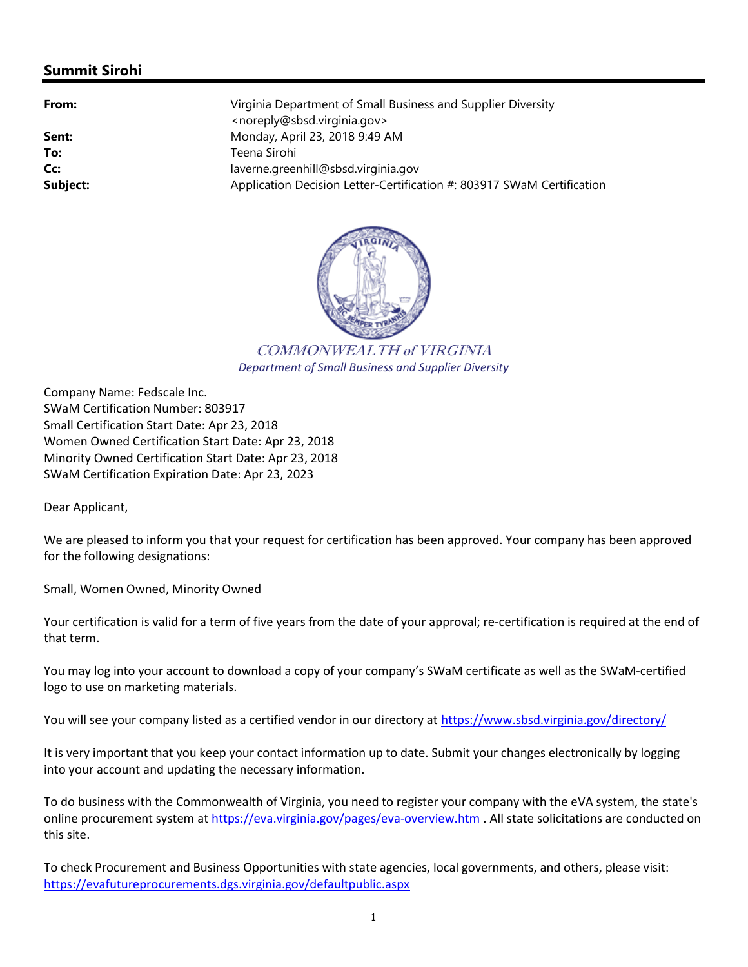## Summit Sirohi

Virginia Department of Small Business and Supplier Diversity <noreply@sbsd.virginia.gov> **Sent:** Monday, April 23, 2018 9:49 AM To: Teena Sirohi Cc: laverne.greenhill@sbsd.virginia.gov Subject: Application Decision Letter-Certification #: 803917 SWaM Certification #:



COMMONWEALTH of VIRGINIA Department of Small Business and Supplier Diversity

Company Name: Fedscale Inc. SWaM Certification Number: 803917 Small Certification Start Date: Apr 23, 2018 Women Owned Certification Start Date: Apr 23, 2018 Minority Owned Certification Start Date: Apr 23, 2018 SWaM Certification Expiration Date: Apr 23, 2023

Dear Applicant,

We are pleased to inform you that your request for certification has been approved. Your company has been approved for the following designations:

Small, Women Owned, Minority Owned

Your certification is valid for a term of five years from the date of your approval; re-certification is required at the end of that term.

You may log into your account to download a copy of your company's SWaM certificate as well as the SWaM-certified logo to use on marketing materials.

You will see your company listed as a certified vendor in our directory at https://www.sbsd.virginia.gov/directory/

It is very important that you keep your contact information up to date. Submit your changes electronically by logging into your account and updating the necessary information.

To do business with the Commonwealth of Virginia, you need to register your company with the eVA system, the state's online procurement system at https://eva.virginia.gov/pages/eva-overview.htm. All state solicitations are conducted on this site.

To check Procurement and Business Opportunities with state agencies, local governments, and others, please visit: https://evafutureprocurements.dgs.virginia.gov/defaultpublic.aspx